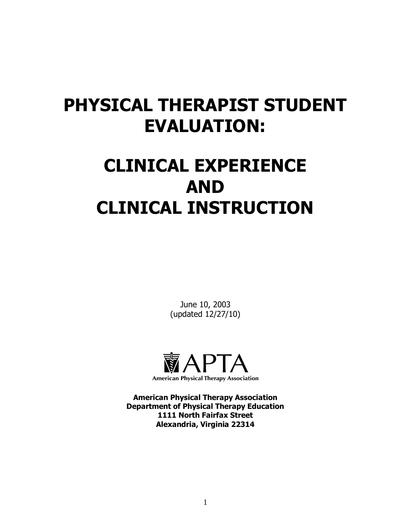## **PHYSICAL THERAPIST STUDENT EVALUATION:**

# **CLINICAL EXPERIENCE AND CLINICAL INSTRUCTION**

June 10, 2003 (updated 12/27/10)



**American Physical Therapy Association Department of Physical Therapy Education 1111 North Fairfax Street Alexandria, Virginia 22314**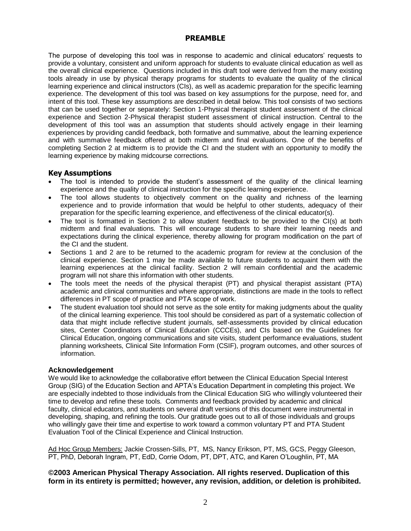## **PREAMBLE**

The purpose of developing this tool was in response to academic and clinical educators' requests to provide a voluntary, consistent and uniform approach for students to evaluate clinical education as well as the overall clinical experience. Questions included in this draft tool were derived from the many existing tools already in use by physical therapy programs for students to evaluate the quality of the clinical learning experience and clinical instructors (CIs), as well as academic preparation for the specific learning experience. The development of this tool was based on key assumptions for the purpose, need for, and intent of this tool. These key assumptions are described in detail below. This tool consists of two sections that can be used together or separately: Section 1-Physical therapist student assessment of the clinical experience and Section 2-Physical therapist student assessment of clinical instruction. Central to the development of this tool was an assumption that students should actively engage in their learning experiences by providing candid feedback, both formative and summative, about the learning experience and with summative feedback offered at both midterm and final evaluations. One of the benefits of completing Section 2 at midterm is to provide the CI and the student with an opportunity to modify the learning experience by making midcourse corrections.

## **Key Assumptions**

- The tool is intended to provide the student's assessment of the quality of the clinical learning experience and the quality of clinical instruction for the specific learning experience.
- The tool allows students to objectively comment on the quality and richness of the learning experience and to provide information that would be helpful to other students, adequacy of their preparation for the specific learning experience, and effectiveness of the clinical educator(s).
- The tool is formatted in Section 2 to allow student feedback to be provided to the CI(s) at both midterm and final evaluations. This will encourage students to share their learning needs and expectations during the clinical experience, thereby allowing for program modification on the part of the CI and the student.
- Sections 1 and 2 are to be returned to the academic program for review at the conclusion of the clinical experience. Section 1 may be made available to future students to acquaint them with the learning experiences at the clinical facility. Section 2 will remain confidential and the academic program will not share this information with other students.
- The tools meet the needs of the physical therapist (PT) and physical therapist assistant (PTA) academic and clinical communities and where appropriate, distinctions are made in the tools to reflect differences in PT scope of practice and PTA scope of work.
- The student evaluation tool should not serve as the sole entity for making judgments about the quality of the clinical learning experience. This tool should be considered as part of a systematic collection of data that might include reflective student journals, self-assessments provided by clinical education sites, Center Coordinators of Clinical Education (CCCEs), and CIs based on the Guidelines for Clinical Education, ongoing communications and site visits, student performance evaluations, student planning worksheets, Clinical Site Information Form (CSIF), program outcomes, and other sources of information.

## **Acknowledgement**

We would like to acknowledge the collaborative effort between the Clinical Education Special Interest Group (SIG) of the Education Section and APTA's Education Department in completing this project. We are especially indebted to those individuals from the Clinical Education SIG who willingly volunteered their time to develop and refine these tools. Comments and feedback provided by academic and clinical faculty, clinical educators, and students on several draft versions of this document were instrumental in developing, shaping, and refining the tools. Our gratitude goes out to all of those individuals and groups who willingly gave their time and expertise to work toward a common voluntary PT and PTA Student Evaluation Tool of the Clinical Experience and Clinical Instruction.

Ad Hoc Group Members: Jackie Crossen-Sills, PT, MS, Nancy Erikson, PT, MS, GCS, Peggy Gleeson, PT, PhD, Deborah Ingram, PT, EdD, Corrie Odom, PT, DPT, ATC, and Karen O'Loughlin, PT, MA

## **©2003 American Physical Therapy Association. All rights reserved. Duplication of this form in its entirety is permitted; however, any revision, addition, or deletion is prohibited.**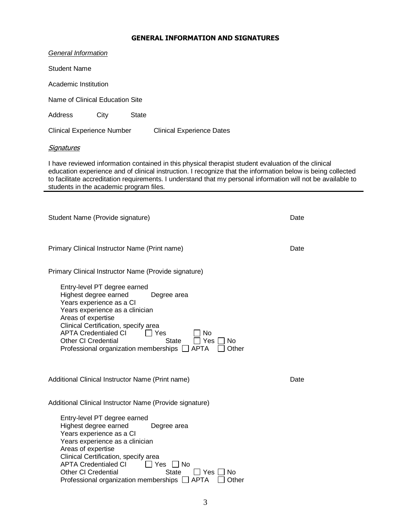## **GENERAL INFORMATION AND SIGNATURES**

| General Information                              |                                                                                                                                                                                                                           |              |                                                                                                                                                                                                                                                                                                                                    |       |      |
|--------------------------------------------------|---------------------------------------------------------------------------------------------------------------------------------------------------------------------------------------------------------------------------|--------------|------------------------------------------------------------------------------------------------------------------------------------------------------------------------------------------------------------------------------------------------------------------------------------------------------------------------------------|-------|------|
| <b>Student Name</b>                              |                                                                                                                                                                                                                           |              |                                                                                                                                                                                                                                                                                                                                    |       |      |
| Academic Institution                             |                                                                                                                                                                                                                           |              |                                                                                                                                                                                                                                                                                                                                    |       |      |
| Name of Clinical Education Site                  |                                                                                                                                                                                                                           |              |                                                                                                                                                                                                                                                                                                                                    |       |      |
| Address                                          | City                                                                                                                                                                                                                      | <b>State</b> |                                                                                                                                                                                                                                                                                                                                    |       |      |
| <b>Clinical Experience Number</b>                |                                                                                                                                                                                                                           |              | <b>Clinical Experience Dates</b>                                                                                                                                                                                                                                                                                                   |       |      |
| <u>Signatures</u>                                |                                                                                                                                                                                                                           |              |                                                                                                                                                                                                                                                                                                                                    |       |      |
| students in the academic program files.          |                                                                                                                                                                                                                           |              | I have reviewed information contained in this physical therapist student evaluation of the clinical<br>education experience and of clinical instruction. I recognize that the information below is being collected<br>to facilitate accreditation requirements. I understand that my personal information will not be available to |       |      |
|                                                  |                                                                                                                                                                                                                           |              |                                                                                                                                                                                                                                                                                                                                    |       |      |
| Student Name (Provide signature)                 |                                                                                                                                                                                                                           |              |                                                                                                                                                                                                                                                                                                                                    |       | Date |
| Primary Clinical Instructor Name (Print name)    |                                                                                                                                                                                                                           |              |                                                                                                                                                                                                                                                                                                                                    |       | Date |
|                                                  |                                                                                                                                                                                                                           |              | Primary Clinical Instructor Name (Provide signature)                                                                                                                                                                                                                                                                               |       |      |
| Areas of expertise                               | Entry-level PT degree earned<br>Highest degree earned<br>Years experience as a CI<br>Years experience as a clinician<br>Clinical Certification, specify area<br><b>APTA Credentialed CI</b><br><b>Other CI Credential</b> | ■ Pres       | Degree area<br>Νo<br><b>State</b><br>Yes<br>No<br>Professional organization memberships □ APTA<br>$\Box$ Other                                                                                                                                                                                                                     |       |      |
| Additional Clinical Instructor Name (Print name) |                                                                                                                                                                                                                           |              |                                                                                                                                                                                                                                                                                                                                    |       | Date |
|                                                  |                                                                                                                                                                                                                           |              | Additional Clinical Instructor Name (Provide signature)                                                                                                                                                                                                                                                                            |       |      |
| Areas of expertise                               | Entry-level PT degree earned<br>Highest degree earned<br>Years experience as a CI<br>Years experience as a clinician<br>Clinical Certification, specify area<br><b>APTA Credentialed CI</b><br><b>Other CI Credential</b> |              | Degree area<br>Yes<br>No.<br><b>State</b><br>Yes  <br>No.<br>Professional organization memberships □ APTA                                                                                                                                                                                                                          | Other |      |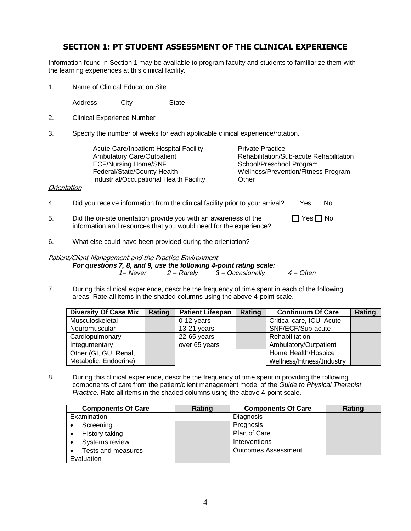## **SECTION 1: PT STUDENT ASSESSMENT OF THE CLINICAL EXPERIENCE**

Information found in Section 1 may be available to program faculty and students to familiarize them with the learning experiences at this clinical facility.

1. Name of Clinical Education Site

Address City State

- 2. Clinical Experience Number
- 3. Specify the number of weeks for each applicable clinical experience/rotation.

Acute Care/Inpatient Hospital Facility **Private Practice**<br>Ambulatory Care/Outpatient **Prime Provide Rehabilitation/S** Industrial/Occupational Health Facility Other

Ambulatory Care/Outpatient <br>ECF/Nursing Home/SNF Rehabilitation/Sub-acute Rehabilitation<br>School/Preschool Program School/Preschool Program Federal/State/County Health Wellness/Prevention/Fitness Program

### **Orientation**

| 4. | Did you receive information from the clinical facility prior to your arrival? $\Box$ Yes $\Box$ No                                    |                      |
|----|---------------------------------------------------------------------------------------------------------------------------------------|----------------------|
| 5. | Did the on-site orientation provide you with an awareness of the<br>information and resources that you would need for the experience? | $\Box$ Yes $\Box$ No |

6. What else could have been provided during the orientation?

### Patient/Client Management and the Practice Environment

*For questions 7, 8, and 9, use the following 4-point rating scale: 1= Never 2 = Rarely 3 = Occasionally 4 = Often*

7. During this clinical experience, describe the frequency of time spent in each of the following areas. Rate all items in the shaded columns using the above 4-point scale.

| <b>Diversity Of Case Mix</b> | Rating | <b>Patient Lifespan</b> | Rating | <b>Continuum Of Care</b>  | Rating |
|------------------------------|--------|-------------------------|--------|---------------------------|--------|
| Musculoskeletal              |        | $0-12$ years            |        | Critical care, ICU, Acute |        |
| Neuromuscular                |        | 13-21 years             |        | SNF/ECF/Sub-acute         |        |
| Cardiopulmonary              |        | $22-65$ years           |        | Rehabilitation            |        |
| Integumentary                |        | over 65 years           |        | Ambulatory/Outpatient     |        |
| Other (GI, GU, Renal,        |        |                         |        | Home Health/Hospice       |        |
| Metabolic, Endocrine)        |        |                         |        | Wellness/Fitness/Industry |        |

8. During this clinical experience, describe the frequency of time spent in providing the following components of care from the patient/client management model of the *Guide to Physical Therapist Practice*. Rate all items in the shaded columns using the above 4-point scale.

| <b>Components Of Care</b> | Rating | <b>Components Of Care</b>  | Rating |
|---------------------------|--------|----------------------------|--------|
| Examination               |        | Diagnosis                  |        |
| Screening                 |        | Prognosis                  |        |
| History taking            |        | Plan of Care               |        |
| Systems review            |        | Interventions              |        |
| Tests and measures        |        | <b>Outcomes Assessment</b> |        |
| Evaluation                |        |                            |        |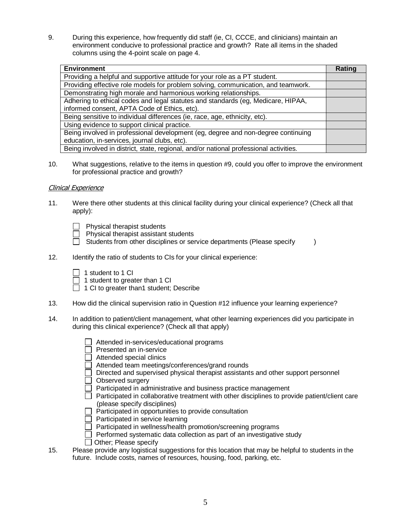9. During this experience, how frequently did staff (ie, CI, CCCE, and clinicians) maintain an environment conducive to professional practice and growth? Rate all items in the shaded columns using the 4-point scale on page 4.

| <b>Environment</b>                                                                    | Rating |
|---------------------------------------------------------------------------------------|--------|
| Providing a helpful and supportive attitude for your role as a PT student.            |        |
| Providing effective role models for problem solving, communication, and teamwork.     |        |
| Demonstrating high morale and harmonious working relationships.                       |        |
| Adhering to ethical codes and legal statutes and standards (eg, Medicare, HIPAA,      |        |
| informed consent, APTA Code of Ethics, etc).                                          |        |
| Being sensitive to individual differences (ie, race, age, ethnicity, etc).            |        |
| Using evidence to support clinical practice.                                          |        |
| Being involved in professional development (eg, degree and non-degree continuing      |        |
| education, in-services, journal clubs, etc).                                          |        |
| Being involved in district, state, regional, and/or national professional activities. |        |

10. What suggestions, relative to the items in question #9, could you offer to improve the environment for professional practice and growth?

### Clinical Experience

- 11. Were there other students at this clinical facility during your clinical experience? (Check all that apply):
	- $\Box$  Physical therapist students
	- $\Box$  Physical therapist assistant students
	- $\Box$  Students from other disciplines or service departments (Please specify  $\Box$ )
- 12. Identify the ratio of students to CIs for your clinical experience:
	- $\Box$  1 student to 1 CI
	- $\Box$  1 student to greater than 1 CI
	- $\Box$  1 CI to greater than1 student; Describe
- 13. How did the clinical supervision ratio in Question #12 influence your learning experience?
- 14. In addition to patient/client management, what other learning experiences did you participate in during this clinical experience? (Check all that apply)
	- □ Attended in-services/educational programs
	- $\Box$  Presented an in-service
	- $\overline{\Box}$  Attended special clinics
	- Attended team meetings/conferences/grand rounds
	- $\Box$  Directed and supervised physical therapist assistants and other support personnel
	- Observed surgery
	- $\Box$  Participated in administrative and business practice management
	- $\Box$  Participated in collaborative treatment with other disciplines to provide patient/client care (please specify disciplines)
	- $\Box$  Participated in opportunities to provide consultation
	- $\Box$  Participated in service learning
	- $\Box$  Participated in wellness/health promotion/screening programs
	- $\Box$  Performed systematic data collection as part of an investigative study
	- Other; Please specify
- 15. Please provide any logistical suggestions for this location that may be helpful to students in the future. Include costs, names of resources, housing, food, parking, etc.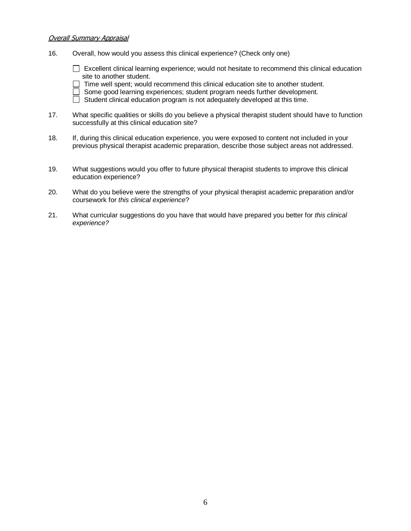#### Overall Summary Appraisal

16. Overall, how would you assess this clinical experience? (Check only one)

 $\Box$  Excellent clinical learning experience; would not hesitate to recommend this clinical education site to another student.

 $\Box$  Time well spent; would recommend this clinical education site to another student.

Some good learning experiences; student program needs further development.

 $\Box$  Student clinical education program is not adequately developed at this time.

- 17. What specific qualities or skills do you believe a physical therapist student should have to function successfully at this clinical education site?
- 18. If, during this clinical education experience, you were exposed to content not included in your previous physical therapist academic preparation, describe those subject areas not addressed.
- 19. What suggestions would you offer to future physical therapist students to improve this clinical education experience?
- 20. What do you believe were the strengths of your physical therapist academic preparation and/or coursework for *this clinical experience*?
- 21. What curricular suggestions do you have that would have prepared you better for *this clinical experience?*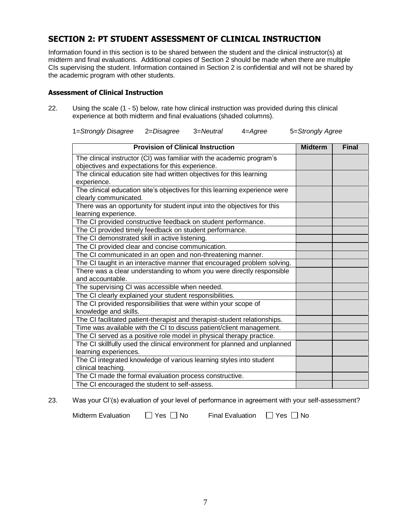## **SECTION 2: PT STUDENT ASSESSMENT OF CLINICAL INSTRUCTION**

Information found in this section is to be shared between the student and the clinical instructor(s) at midterm and final evaluations. Additional copies of Section 2 should be made when there are multiple CIs supervising the student. Information contained in Section 2 is confidential and will not be shared by the academic program with other students.

## **Assessment of Clinical Instruction**

22. Using the scale (1 - 5) below, rate how clinical instruction was provided during this clinical experience at both midterm and final evaluations (shaded columns).

1=*Strongly Disagree* 2=*Disagree* 3=*Neutral* 4=*Agree* 5=*Strongly Agree*

| <b>Provision of Clinical Instruction</b>                                   | <b>Midterm</b> | <b>Final</b> |
|----------------------------------------------------------------------------|----------------|--------------|
| The clinical instructor (CI) was familiar with the academic program's      |                |              |
| objectives and expectations for this experience.                           |                |              |
| The clinical education site had written objectives for this learning       |                |              |
| experience.                                                                |                |              |
| The clinical education site's objectives for this learning experience were |                |              |
| clearly communicated.                                                      |                |              |
| There was an opportunity for student input into the objectives for this    |                |              |
| learning experience.                                                       |                |              |
| The CI provided constructive feedback on student performance.              |                |              |
| The CI provided timely feedback on student performance.                    |                |              |
| The CI demonstrated skill in active listening.                             |                |              |
| The CI provided clear and concise communication.                           |                |              |
| The CI communicated in an open and non-threatening manner.                 |                |              |
| The CI taught in an interactive manner that encouraged problem solving.    |                |              |
| There was a clear understanding to whom you were directly responsible      |                |              |
| and accountable.                                                           |                |              |
| The supervising CI was accessible when needed.                             |                |              |
| The CI clearly explained your student responsibilities.                    |                |              |
| The CI provided responsibilities that were within your scope of            |                |              |
| knowledge and skills.                                                      |                |              |
| The CI facilitated patient-therapist and therapist-student relationships.  |                |              |
| Time was available with the CI to discuss patient/client management.       |                |              |
| The CI served as a positive role model in physical therapy practice.       |                |              |
| The CI skillfully used the clinical environment for planned and unplanned  |                |              |
| learning experiences.                                                      |                |              |
| The CI integrated knowledge of various learning styles into student        |                |              |
| clinical teaching.                                                         |                |              |
| The CI made the formal evaluation process constructive.                    |                |              |
| The CI encouraged the student to self-assess.                              |                |              |

23. Was your CI'(s) evaluation of your level of performance in agreement with your self-assessment?

Midterm Evaluation  $\Box$  Yes  $\Box$  No Final Evaluation  $\Box$  Yes  $\Box$  No